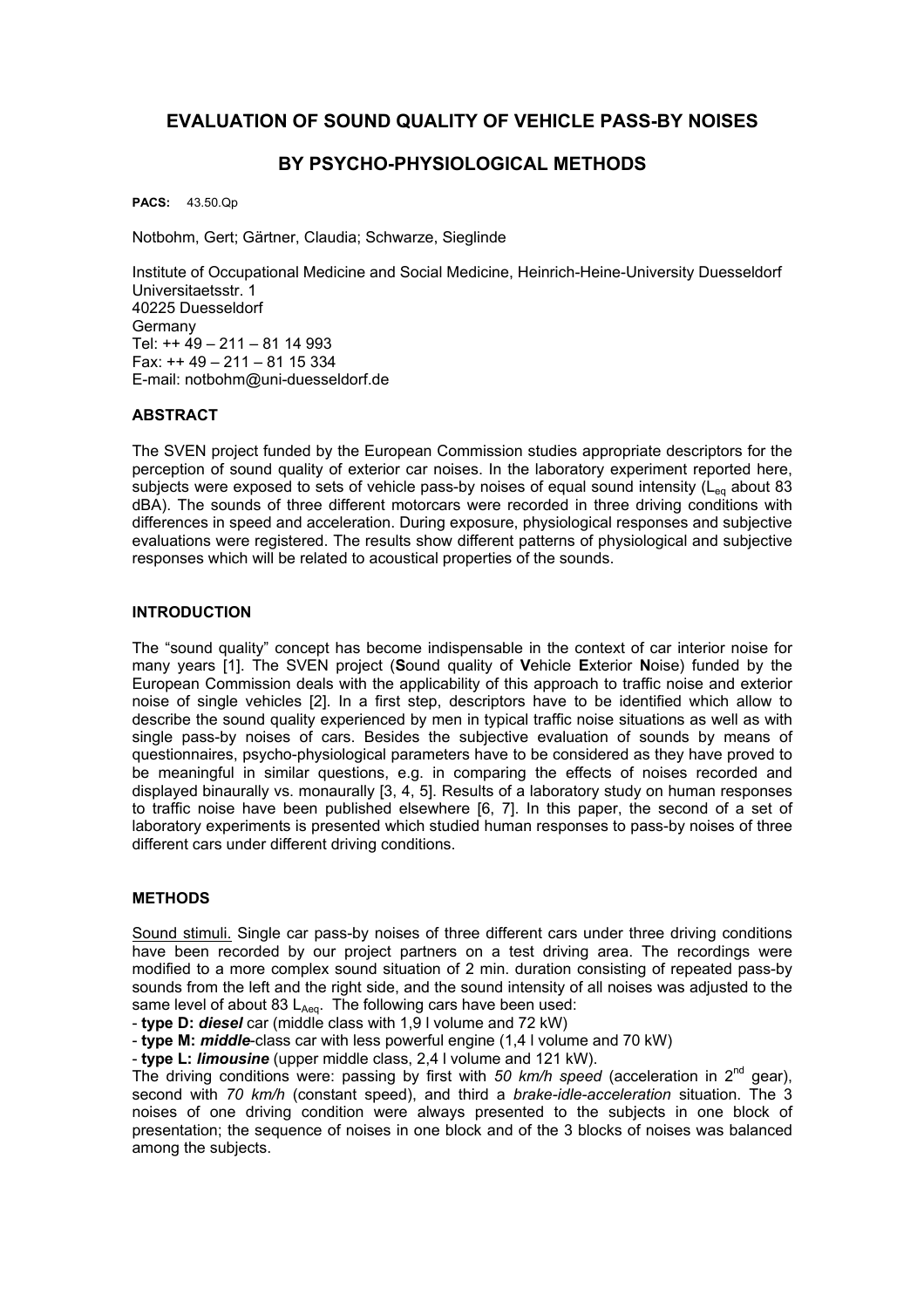# **EVALUATION OF SOUND QUALITY OF VEHICLE PASS-BY NOISES**

# **BY PSYCHO-PHYSIOLOGICAL METHODS**

**PACS:** 43.50.Qp

Notbohm, Gert; Gärtner, Claudia; Schwarze, Sieglinde

Institute of Occupational Medicine and Social Medicine, Heinrich-Heine-University Duesseldorf Universitaetsstr. 1 40225 Duesseldorf Germany Tel: ++ 49 – 211 – 81 14 993 Fax: ++ 49 – 211 – 81 15 334 E-mail: notbohm@uni-duesseldorf.de

# **ABSTRACT**

The SVEN project funded by the European Commission studies appropriate descriptors for the perception of sound quality of exterior car noises. In the laboratory experiment reported here, subjects were exposed to sets of vehicle pass-by noises of equal sound intensity ( $L_{eq}$  about 83 dBA). The sounds of three different motorcars were recorded in three driving conditions with differences in speed and acceleration. During exposure, physiological responses and subjective evaluations were registered. The results show different patterns of physiological and subjective responses which will be related to acoustical properties of the sounds.

## **INTRODUCTION**

The "sound quality" concept has become indispensable in the context of car interior noise for many years [1]. The SVEN project (**S**ound quality of **V**ehicle **E**xterior **N**oise) funded by the European Commission deals with the applicability of this approach to traffic noise and exterior noise of single vehicles [2]. In a first step, descriptors have to be identified which allow to describe the sound quality experienced by men in typical traffic noise situations as well as with single pass-by noises of cars. Besides the subjective evaluation of sounds by means of questionnaires, psycho-physiological parameters have to be considered as they have proved to be meaningful in similar questions, e.g. in comparing the effects of noises recorded and displayed binaurally vs. monaurally [3, 4, 5]. Results of a laboratory study on human responses to traffic noise have been published elsewhere [6, 7]. In this paper, the second of a set of laboratory experiments is presented which studied human responses to pass-by noises of three different cars under different driving conditions.

#### **METHODS**

Sound stimuli. Single car pass-by noises of three different cars under three driving conditions have been recorded by our project partners on a test driving area. The recordings were modified to a more complex sound situation of 2 min. duration consisting of repeated pass-by sounds from the left and the right side, and the sound intensity of all noises was adjusted to the same level of about 83  $L_{Aeq}$ . The following cars have been used:

- **type D:** *diesel* car (middle class with 1,9 l volume and 72 kW)

- **type M:** *middle*-class car with less powerful engine (1,4 l volume and 70 kW)

- **type L:** *limousine* (upper middle class, 2,4 l volume and 121 kW).

The driving conditions were: passing by first with 50 km/h speed (acceleration in  $2^{nd}$  gear), second with *70 km/h* (constant speed), and third a *brake-idle-acceleration* situation. The 3 noises of one driving condition were always presented to the subjects in one block of presentation; the sequence of noises in one block and of the 3 blocks of noises was balanced among the subjects.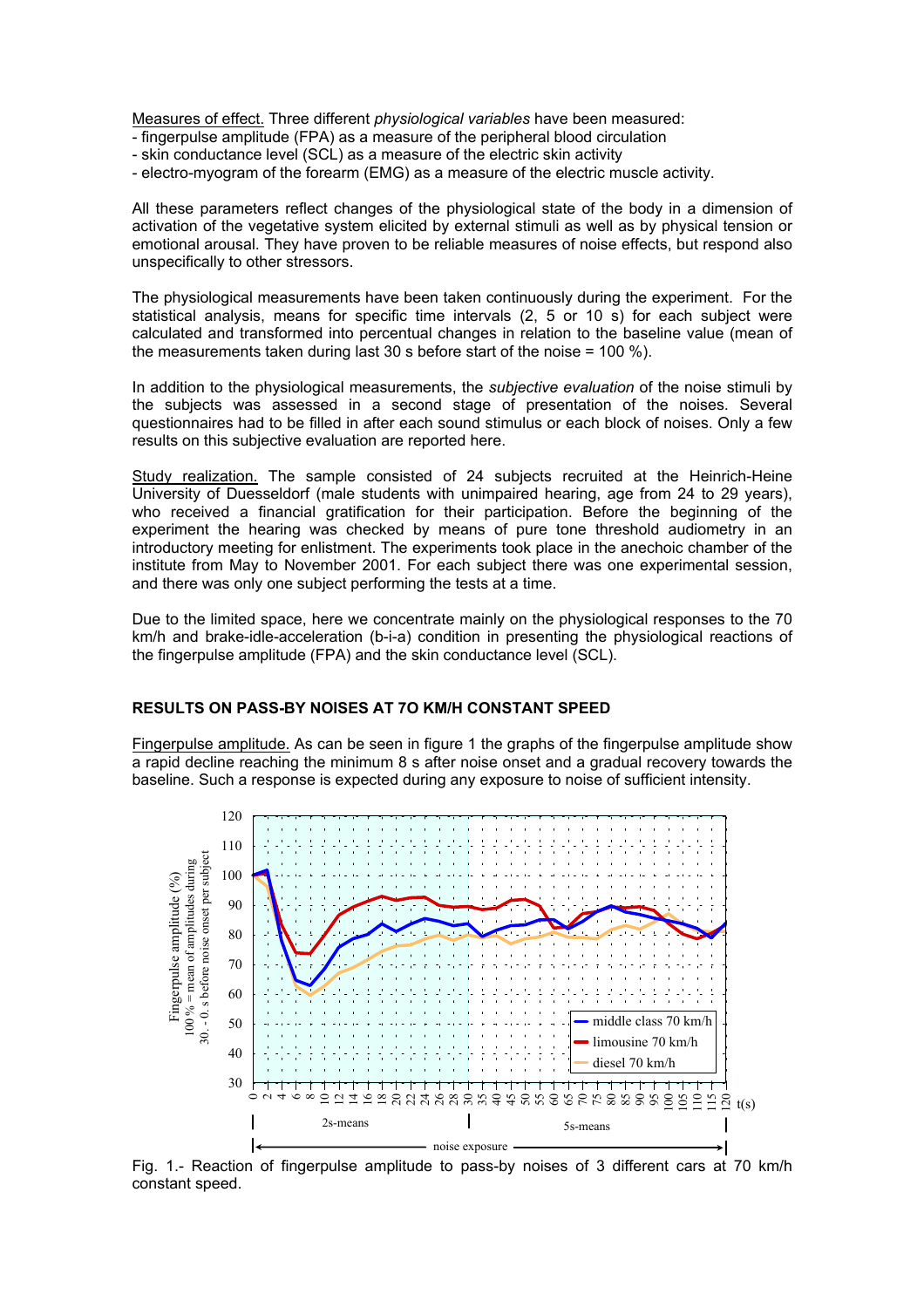Measures of effect. Three different *physiological variables* have been measured:

- fingerpulse amplitude (FPA) as a measure of the peripheral blood circulation
- skin conductance level (SCL) as a measure of the electric skin activity
- electro-myogram of the forearm (EMG) as a measure of the electric muscle activity.

All these parameters reflect changes of the physiological state of the body in a dimension of activation of the vegetative system elicited by external stimuli as well as by physical tension or emotional arousal. They have proven to be reliable measures of noise effects, but respond also unspecifically to other stressors.

The physiological measurements have been taken continuously during the experiment. For the statistical analysis, means for specific time intervals (2, 5 or 10 s) for each subject were calculated and transformed into percentual changes in relation to the baseline value (mean of the measurements taken during last 30 s before start of the noise = 100 %).

In addition to the physiological measurements, the *subjective evaluation* of the noise stimuli by the subjects was assessed in a second stage of presentation of the noises. Several questionnaires had to be filled in after each sound stimulus or each block of noises. Only a few results on this subjective evaluation are reported here.

Study realization. The sample consisted of 24 subjects recruited at the Heinrich-Heine University of Duesseldorf (male students with unimpaired hearing, age from 24 to 29 years), who received a financial gratification for their participation. Before the beginning of the experiment the hearing was checked by means of pure tone threshold audiometry in an introductory meeting for enlistment. The experiments took place in the anechoic chamber of the institute from May to November 2001. For each subject there was one experimental session, and there was only one subject performing the tests at a time.

Due to the limited space, here we concentrate mainly on the physiological responses to the 70 km/h and brake-idle-acceleration (b-i-a) condition in presenting the physiological reactions of the fingerpulse amplitude (FPA) and the skin conductance level (SCL).

## **RESULTS ON PASS-BY NOISES AT 7O KM/H CONSTANT SPEED**

Fingerpulse amplitude. As can be seen in figure 1 the graphs of the fingerpulse amplitude show a rapid decline reaching the minimum 8 s after noise onset and a gradual recovery towards the baseline. Such a response is expected during any exposure to noise of sufficient intensity.



Fig. 1.- Reaction of fingerpulse amplitude to pass-by noises of 3 different cars at 70 km/h constant speed.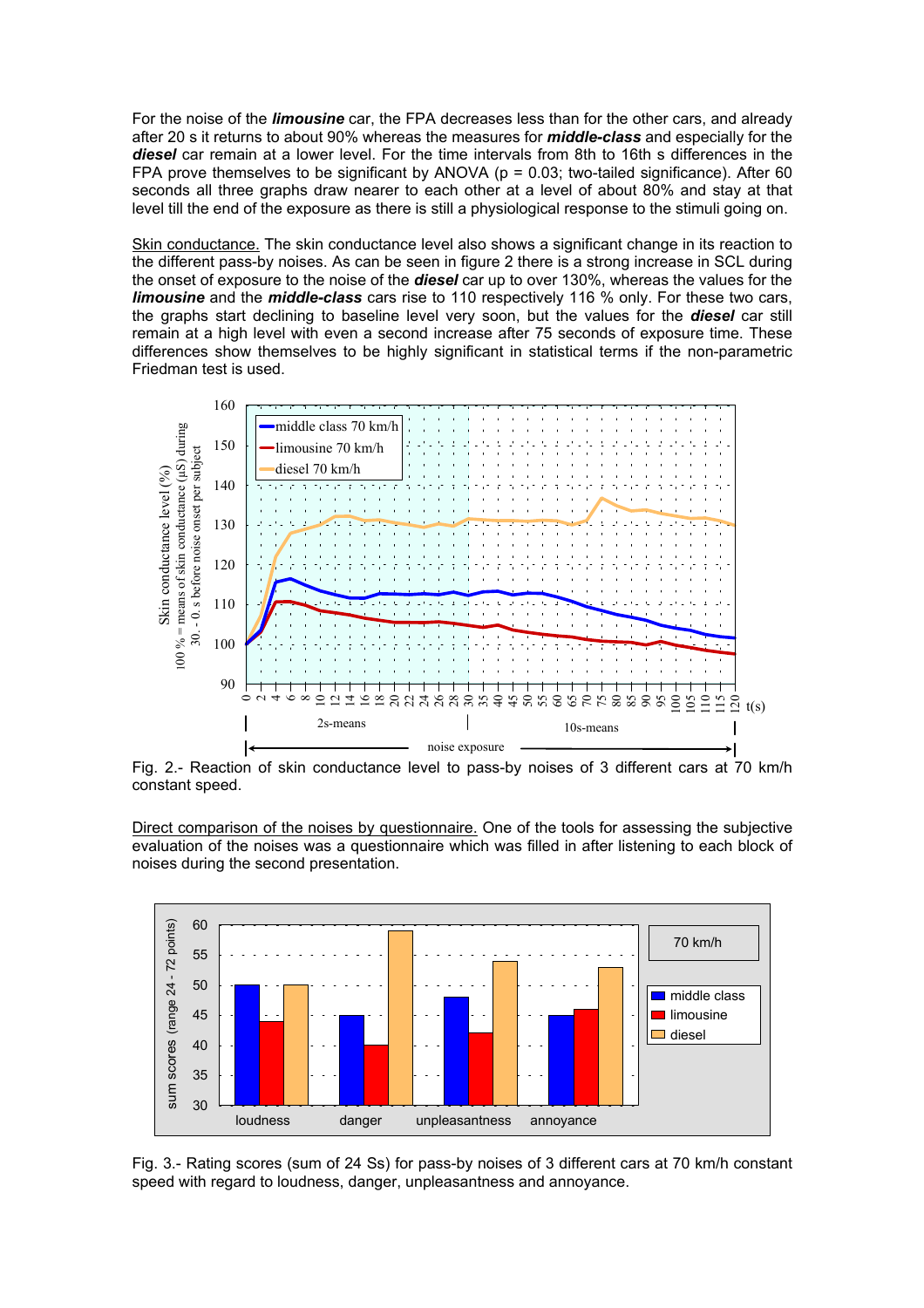For the noise of the *limousine* car, the FPA decreases less than for the other cars, and already after 20 s it returns to about 90% whereas the measures for *middle-class* and especially for the *diesel* car remain at a lower level. For the time intervals from 8th to 16th s differences in the FPA prove themselves to be significant by ANOVA ( $p = 0.03$ ; two-tailed significance). After 60 seconds all three graphs draw nearer to each other at a level of about 80% and stay at that level till the end of the exposure as there is still a physiological response to the stimuli going on.

Skin conductance. The skin conductance level also shows a significant change in its reaction to the different pass-by noises. As can be seen in figure 2 there is a strong increase in SCL during the onset of exposure to the noise of the *diesel* car up to over 130%, whereas the values for the *limousine* and the *middle-class* cars rise to 110 respectively 116 % only. For these two cars, the graphs start declining to baseline level very soon, but the values for the *diesel* car still remain at a high level with even a second increase after 75 seconds of exposure time. These differences show themselves to be highly significant in statistical terms if the non-parametric Friedman test is used.



Fig. 2.- Reaction of skin conductance level to pass-by noises of 3 different cars at 70 km/h constant speed.

Direct comparison of the noises by questionnaire. One of the tools for assessing the subjective evaluation of the noises was a questionnaire which was filled in after listening to each block of noises during the second presentation.



Fig. 3.- Rating scores (sum of 24 Ss) for pass-by noises of 3 different cars at 70 km/h constant speed with regard to loudness, danger, unpleasantness and annoyance.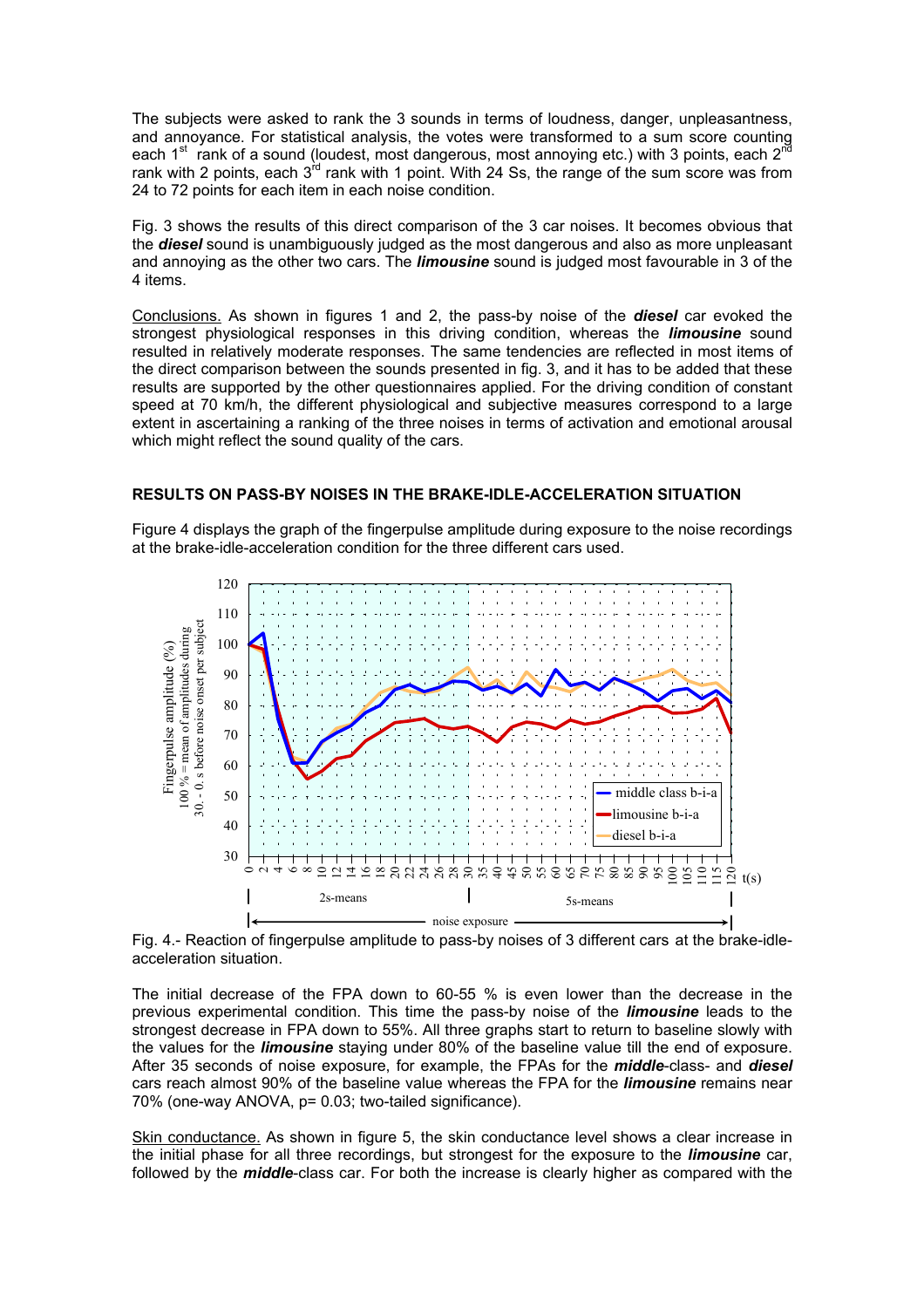The subjects were asked to rank the 3 sounds in terms of loudness, danger, unpleasantness, and annoyance. For statistical analysis, the votes were transformed to a sum score counting each 1<sup>st</sup> rank of a sound (loudest, most dangerous, most annoying etc.) with 3 points, each 2<sup>nd</sup> rank with 2 points, each 3<sup>rd</sup> rank with 1 point. With 24 Ss, the range of the sum score was from 24 to 72 points for each item in each noise condition.

Fig. 3 shows the results of this direct comparison of the 3 car noises. It becomes obvious that the *diesel* sound is unambiguously judged as the most dangerous and also as more unpleasant and annoying as the other two cars. The *limousine* sound is judged most favourable in 3 of the 4 items.

Conclusions. As shown in figures 1 and 2, the pass-by noise of the *diesel* car evoked the strongest physiological responses in this driving condition, whereas the *limousine* sound resulted in relatively moderate responses. The same tendencies are reflected in most items of the direct comparison between the sounds presented in fig. 3, and it has to be added that these results are supported by the other questionnaires applied. For the driving condition of constant speed at 70 km/h, the different physiological and subjective measures correspond to a large extent in ascertaining a ranking of the three noises in terms of activation and emotional arousal which might reflect the sound quality of the cars.

## **RESULTS ON PASS-BY NOISES IN THE BRAKE-IDLE-ACCELERATION SITUATION**

Figure 4 displays the graph of the fingerpulse amplitude during exposure to the noise recordings at the brake-idle-acceleration condition for the three different cars used.



Fig. 4.- Reaction of fingerpulse amplitude to pass-by noises of 3 different cars at the brake-idleacceleration situation.

The initial decrease of the FPA down to 60-55 % is even lower than the decrease in the previous experimental condition. This time the pass-by noise of the *limousine* leads to the strongest decrease in FPA down to 55%. All three graphs start to return to baseline slowly with the values for the *limousine* staying under 80% of the baseline value till the end of exposure. After 35 seconds of noise exposure, for example, the FPAs for the *middle*-class- and *diesel* cars reach almost 90% of the baseline value whereas the FPA for the *limousine* remains near 70% (one-way ANOVA, p= 0.03; two-tailed significance).

Skin conductance. As shown in figure 5, the skin conductance level shows a clear increase in the initial phase for all three recordings, but strongest for the exposure to the *limousine* car, followed by the *middle*-class car. For both the increase is clearly higher as compared with the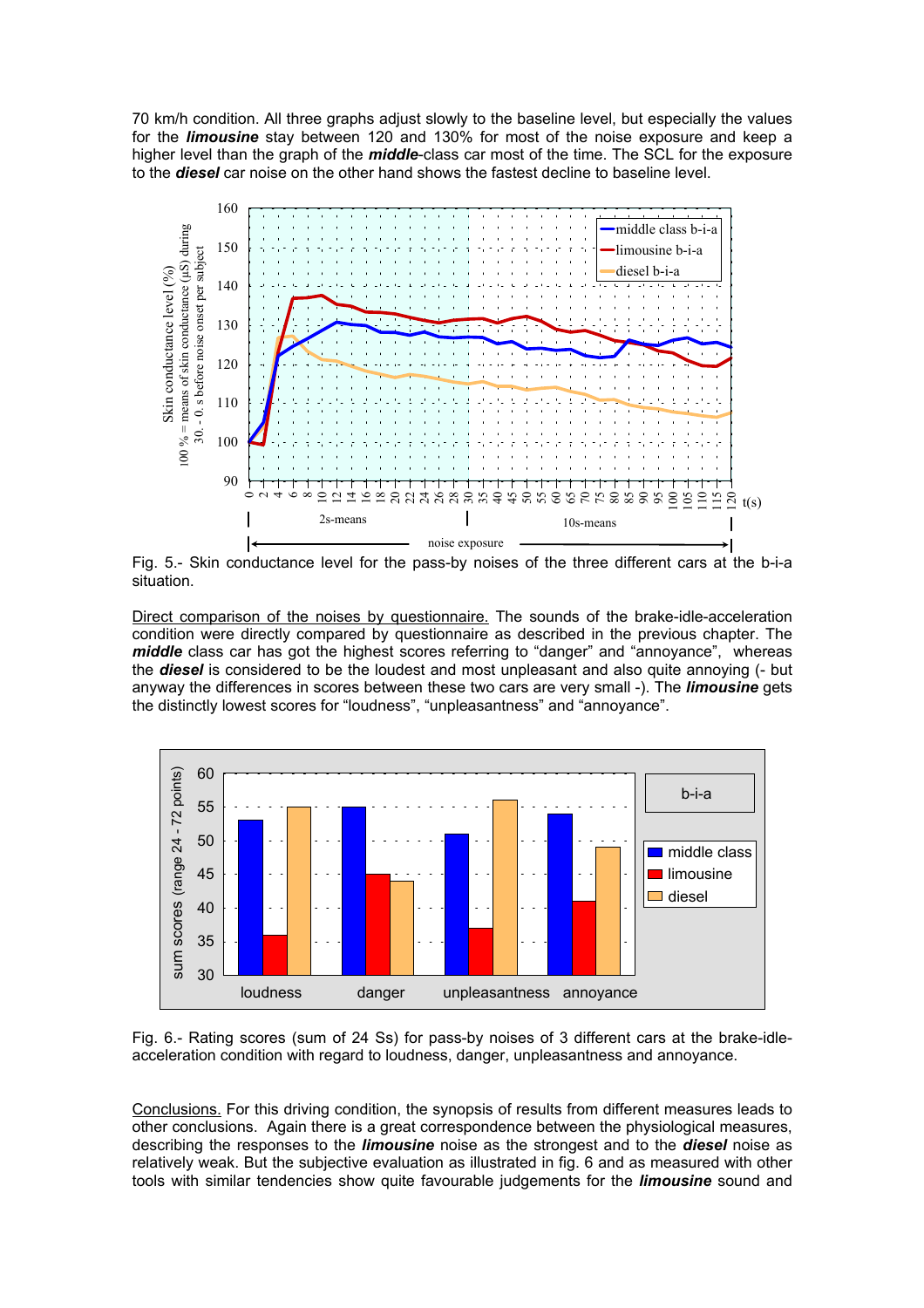70 km/h condition. All three graphs adjust slowly to the baseline level, but especially the values for the *limousine* stay between 120 and 130% for most of the noise exposure and keep a higher level than the graph of the *middle*-class car most of the time. The SCL for the exposure to the **diesel** car noise on the other hand shows the fastest decline to baseline level.



Fig. 5.- Skin conductance level for the pass-by noises of the three different cars at the b-i-a situation.

Direct comparison of the noises by questionnaire. The sounds of the brake-idle-acceleration condition were directly compared by questionnaire as described in the previous chapter. The *middle* class car has got the highest scores referring to "danger" and "annoyance", whereas the *diesel* is considered to be the loudest and most unpleasant and also quite annoying (- but anyway the differences in scores between these two cars are very small -). The *limousine* gets the distinctly lowest scores for "loudness", "unpleasantness" and "annoyance".



Fig. 6.- Rating scores (sum of 24 Ss) for pass-by noises of 3 different cars at the brake-idleacceleration condition with regard to loudness, danger, unpleasantness and annoyance.

Conclusions. For this driving condition, the synopsis of results from different measures leads to other conclusions. Again there is a great correspondence between the physiological measures, describing the responses to the *limousine* noise as the strongest and to the *diesel* noise as relatively weak. But the subjective evaluation as illustrated in fig. 6 and as measured with other tools with similar tendencies show quite favourable judgements for the *limousine* sound and